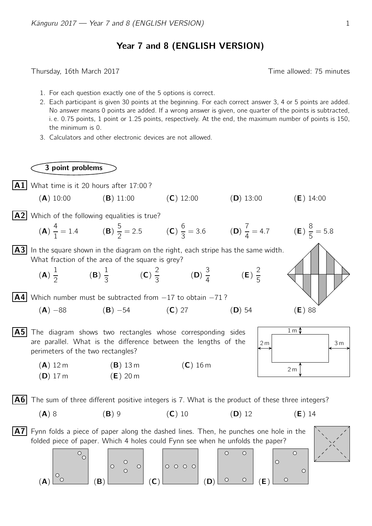## Year 7 and 8 (ENGLISH VERSION)

Thursday, 16th March 2017 **Thursday**, 16th March 2017

3 point problems

- 1. For each question exactly one of the 5 options is correct.
- 2. Each participant is given 30 points at the beginning. For each correct answer 3, 4 or 5 points are added. No answer means 0 points are added. If a wrong answer is given, one quarter of the points is subtracted, i. e. 0.75 points, 1 point or 1.25 points, respectively. At the end, the maximum number of points is 150, the minimum is 0.
- 3. Calculators and other electronic devices are not allowed.

 $|\mathbf{A1}|$  What time is it 20 hours after 17:00? (A) 10:00 (B) 11:00 (C) 12:00 (D) 13:00 (E) 14:00  $\sqrt{A2}$  Which of the following equalities is true? 4 5 6 7 8  $\frac{4}{1} = 1.4$  (B)  $\frac{3}{2} = 2.5$  (**C**)  $\frac{0}{3} = 3.6$  (**D**)  $\frac{1}{4} = 4.7$  (**E**)  $\frac{6}{5}$  = 5.8 (A)  $|A3|$  In the square shown in the diagram on the right, each stripe has the same width. What fraction of the area of the square is grey? 1 1 2 3 2 (A) (B)  $\frac{1}{3}$  (C)  $\frac{2}{3}$  (D)  $\frac{3}{4}$  (E) 2 5  $|A4|$  Which number must be subtracted from  $-17$  to obtain  $-71$ ? (A)  $-88$  (B)  $-54$  (C) 27 (D) 54 (E) 88 A5 The diagram shows two rectangles whose corresponding sides 1 m are parallel. What is the difference between the lengths of the  $2\,\text{m}$  | 3 m perimeters of the two rectangles?  $(A)$  12 m  $(B)$  13 m  $(C)$  16 m 2 m  $(D)$  17 m  $(E)$  20 m  $\vert$  A6 The sum of three different positive integers is 7. What is the product of these three integers? (A) 8 (B) 9 (C) 10 (D) 12 (E) 14  $|A7|$  Fynn folds a piece of paper along the dashed lines. Then, he punches one hole in the folded piece of paper. Which 4 holes could Fynn see when he unfolds the paper?  $\circ$  $\begin{bmatrix} 0 & 0 \\ 0 & 0 \end{bmatrix}$  0000  $\circ$  $\circ$  $\circ$  $\bigcirc$  $(A)$   $\begin{array}{|c|c|c|c|c|}\n\hline\n{\vdots} & \hline\n\end{array}$   $(B)$   $\begin{array}{|c|c|c|c|}\n\hline\n\end{array}$   $(C)$   $\begin{array}{|c|c|c|c|}\n\hline\n\end{array}$   $(D)$   $\begin{array}{|c|c|c|c|}\n\hline\n\end{array}$   $(C)$   $\begin{array}{|c|c|c|c|}\n\hline\n\end{array}$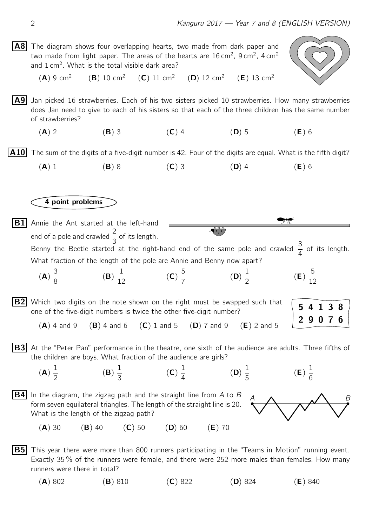$|AB|$  The diagram shows four overlapping hearts, two made from dark paper and two made from light paper. The areas of the hearts are 16 cm<sup>2</sup>, 9 cm<sup>2</sup>, 4 cm<sup>2</sup> and  $1 \text{ cm}^2$ . What is the total visible dark area?



 $(A) 9 cm<sup>2</sup>$  $(B)$  10 cm<sup>2</sup>  $(C)$  11 cm<sup>2</sup>  $(D)$  12 cm<sup>2</sup>  $(E)$  13 cm<sup>2</sup>

 $\mathsf{A9}$  Jan picked 16 strawberries. Each of his two sisters picked 10 strawberries. How many strawberries does Jan need to give to each of his sisters so that each of the three children has the same number of strawberries?

(A) 2 (B) 3 (C) 4 (D) 5 (E) 6

**A10** The sum of the digits of a five-digit number is 42. Four of the digits are equal. What is the fifth digit?

(A) 1 (B) 8 (C) 3 (D) 4 (E) 6

4 point problems

78  $|B1|$  Annie the Ant started at the left-hand end of a pole and crawled  $\frac{2}{3}$  of its length. Benny the Beetle started at the right-hand end of the same pole and crawled  $\frac{3}{4}$  of its length.

What fraction of the length of the pole are Annie and Benny now apart?

(A) 3 8 (B) 1  $\frac{1}{12}$  (C) 5 7 (D) 1 2 (E) 5 12

 $|B2|$  Which two digits on the note shown on the right must be swapped such that one of the five-digit numbers is twice the other five-digit number?

 $(A)$  4 and 9 (B) 4 and 6 (C) 1 and 5 (D) 7 and 9 (E) 2 and 5

 $|B3|$  At the "Peter Pan" performance in the theatre, one sixth of the audience are adults. Three fifths of the children are boys. What fraction of the audience are girls?

1

(D)

1 5

(A) 1 2

(B) 3 (C) 4

1





(E)

1 6

5 4 1 3 8

2 9 0 7 6

 $(A)$  30  $(B)$  40  $(C)$  50  $(D)$  60  $(E)$  70

**B5** This year there were more than 800 runners participating in the "Teams in Motion" running event. Exactly 35 % of the runners were female, and there were 252 more males than females. How many runners were there in total?

(A) 802 (B) 810 (C) 822 (D) 824 (E) 840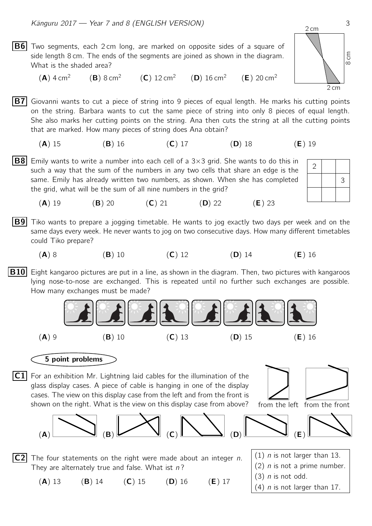

**B7** Giovanni wants to cut a piece of string into 9 pieces of equal length. He marks his cutting points on the string. Barbara wants to cut the same piece of string into only 8 pieces of equal length. She also marks her cutting points on the string. Ana then cuts the string at all the cutting points that are marked. How many pieces of string does Ana obtain?

(A) 15 (B) 16 (C) 17 (D) 18 (E) 19

 $|{\bf B8}|$  Emily wants to write a number into each cell of a 3×3 grid. She wants to do this in such a way that the sum of the numbers in any two cells that share an edge is the same. Emily has already written two numbers, as shown. When she has completed the grid, what will be the sum of all nine numbers in the grid?



(**A**) 19 (**B**) 20 (**C**) 21 (**D**) 22 (**E**) 23

 $|B9|$  Tiko wants to prepare a jogging timetable. He wants to jog exactly two days per week and on the same days every week. He never wants to jog on two consecutive days. How many different timetables could Tiko prepare?

(A) 8 (B) 10 (C) 12 (D) 14 (E) 16

**B10** Eight kangaroo pictures are put in a line, as shown in the diagram. Then, two pictures with kangaroos lying nose-to-nose are exchanged. This is repeated until no further such exchanges are possible. How many exchanges must be made?



## 5 point problems

 $|C1|$  For an exhibition Mr. Lightning laid cables for the illumination of the glass display cases. A piece of cable is hanging in one of the display cases. The view on this display case from the left and from the front is shown on the right. What is the view on this display case from above?





 $|C2|$  The four statements on the right were made about an integer n. They are alternately true and false. What ist  $n$ ?

(A) 13 (B) 14 (C) 15 (D) 16 (E) 17

- $(1)$  n is not larger than 13.  $(2)$  *n* is not a prime number.
- $(3)$  n is not odd.
- $(4)$  n is not larger than 17.

2 cm

8 cm